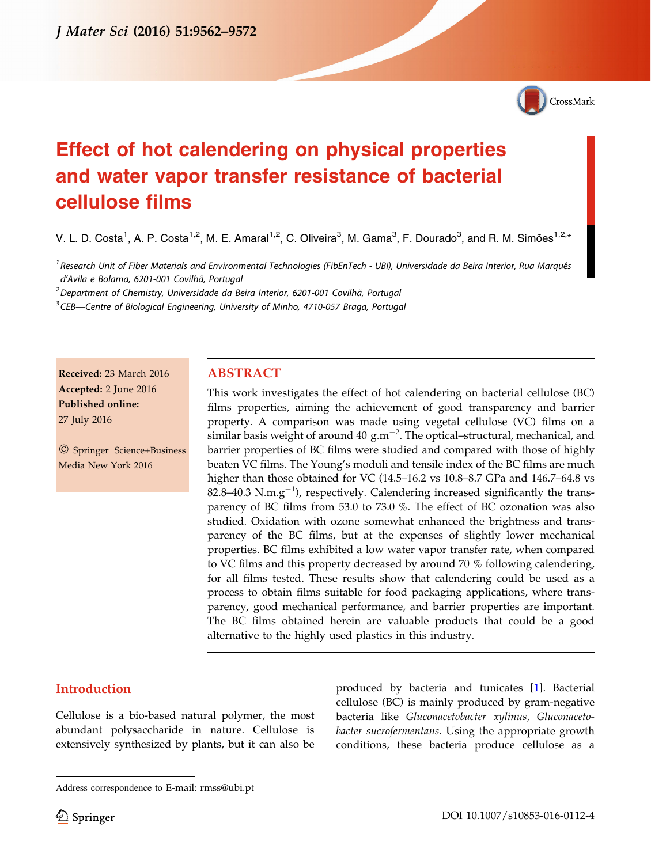

# Effect of hot calendering on physical properties and water vapor transfer resistance of bacterial cellulose films

V. L. D. Costa<sup>1</sup>, A. P. Costa<sup>1,2</sup>, M. E. Amaral<sup>1,2</sup>, C. Oliveira<sup>3</sup>, M. Gama<sup>3</sup>, F. Dourado<sup>3</sup>, and R. M. Simões<sup>1,2,\*</sup>

<sup>1</sup> Research Unit of Fiber Materials and Environmental Technologies (FibEnTech - UBI), Universidade da Beira Interior, Rua Marquês d'Avila e Bolama, 6201-001 Covilhã, Portugal

<sup>2</sup> Department of Chemistry, Universidade da Beira Interior, 6201-001 Covilhã, Portugal

<sup>3</sup> CEB—Centre of Biological Engineering, University of Minho, 4710-057 Braga, Portugal

Received: 23 March 2016 Accepted: 2 June 2016 Published online: 27 July 2016

- Springer Science+Business Media New York 2016

#### ABSTRACT

This work investigates the effect of hot calendering on bacterial cellulose (BC) films properties, aiming the achievement of good transparency and barrier property. A comparison was made using vegetal cellulose (VC) films on a similar basis weight of around 40  $\rm g.m^{-2}$ . The optical–structural, mechanical, and barrier properties of BC films were studied and compared with those of highly beaten VC films. The Young's moduli and tensile index of the BC films are much higher than those obtained for VC (14.5–16.2 vs 10.8–8.7 GPa and 146.7–64.8 vs 82.8–40.3 N.m.g<sup>-1</sup>), respectively. Calendering increased significantly the transparency of BC films from 53.0 to 73.0 %. The effect of BC ozonation was also studied. Oxidation with ozone somewhat enhanced the brightness and transparency of the BC films, but at the expenses of slightly lower mechanical properties. BC films exhibited a low water vapor transfer rate, when compared to VC films and this property decreased by around 70 % following calendering, for all films tested. These results show that calendering could be used as a process to obtain films suitable for food packaging applications, where transparency, good mechanical performance, and barrier properties are important. The BC films obtained herein are valuable products that could be a good alternative to the highly used plastics in this industry.

# Introduction

Cellulose is a bio-based natural polymer, the most abundant polysaccharide in nature. Cellulose is extensively synthesized by plants, but it can also be

produced by bacteria and tunicates [[1\]](#page-8-0). Bacterial cellulose (BC) is mainly produced by gram-negative bacteria like Gluconacetobacter xylinus, Gluconacetobacter sucrofermentans. Using the appropriate growth conditions, these bacteria produce cellulose as a

Address correspondence to E-mail: rmss@ubi.pt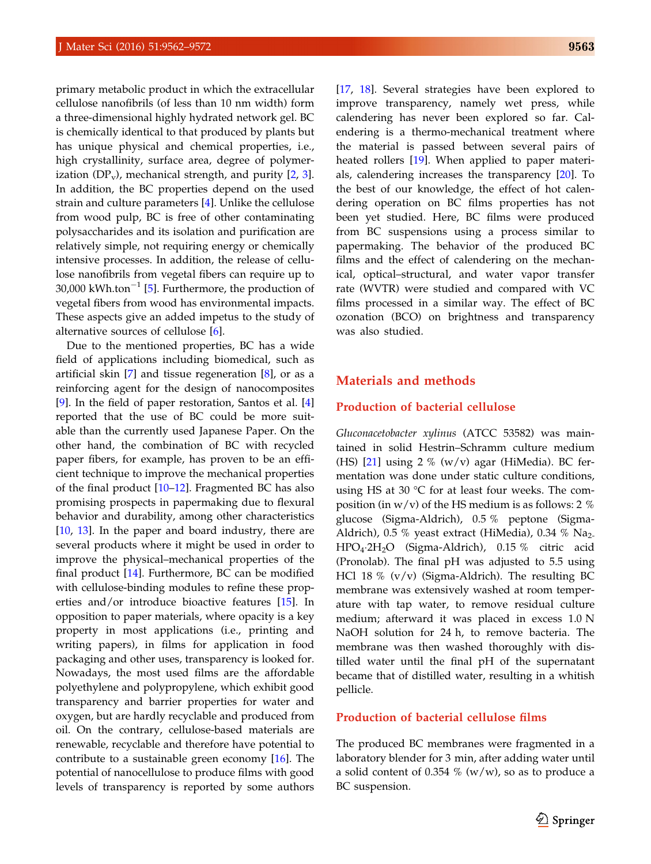primary metabolic product in which the extracellular cellulose nanofibrils (of less than 10 nm width) form a three-dimensional highly hydrated network gel. BC is chemically identical to that produced by plants but has unique physical and chemical properties, i.e., high crystallinity, surface area, degree of polymerization  $(DP_v)$ , mechanical strength, and purity  $[2, 3]$  $[2, 3]$  $[2, 3]$  $[2, 3]$ . In addition, the BC properties depend on the used strain and culture parameters [\[4](#page-8-0)]. Unlike the cellulose from wood pulp, BC is free of other contaminating polysaccharides and its isolation and purification are relatively simple, not requiring energy or chemically intensive processes. In addition, the release of cellulose nanofibrils from vegetal fibers can require up to 30,000 kWh.ton<sup>-1</sup> [\[5](#page-8-0)]. Furthermore, the production of vegetal fibers from wood has environmental impacts. These aspects give an added impetus to the study of alternative sources of cellulose [\[6](#page-8-0)].

Due to the mentioned properties, BC has a wide field of applications including biomedical, such as artificial skin  $[7]$  $[7]$  and tissue regeneration  $[8]$  $[8]$ , or as a reinforcing agent for the design of nanocomposites [\[9](#page-8-0)]. In the field of paper restoration, Santos et al. [\[4](#page-8-0)] reported that the use of BC could be more suitable than the currently used Japanese Paper. On the other hand, the combination of BC with recycled paper fibers, for example, has proven to be an efficient technique to improve the mechanical properties of the final product  $[10-12]$ . Fragmented BC has also promising prospects in papermaking due to flexural behavior and durability, among other characteristics [\[10](#page-8-0), [13\]](#page-9-0). In the paper and board industry, there are several products where it might be used in order to improve the physical–mechanical properties of the final product [\[14](#page-9-0)]. Furthermore, BC can be modified with cellulose-binding modules to refine these properties and/or introduce bioactive features [\[15](#page-9-0)]. In opposition to paper materials, where opacity is a key property in most applications (i.e., printing and writing papers), in films for application in food packaging and other uses, transparency is looked for. Nowadays, the most used films are the affordable polyethylene and polypropylene, which exhibit good transparency and barrier properties for water and oxygen, but are hardly recyclable and produced from oil. On the contrary, cellulose-based materials are renewable, recyclable and therefore have potential to contribute to a sustainable green economy [\[16](#page-9-0)]. The potential of nanocellulose to produce films with good levels of transparency is reported by some authors

[[17,](#page-9-0) [18](#page-9-0)]. Several strategies have been explored to improve transparency, namely wet press, while calendering has never been explored so far. Calendering is a thermo-mechanical treatment where the material is passed between several pairs of heated rollers [\[19](#page-9-0)]. When applied to paper materials, calendering increases the transparency [\[20](#page-9-0)]. To the best of our knowledge, the effect of hot calendering operation on BC films properties has not been yet studied. Here, BC films were produced from BC suspensions using a process similar to papermaking. The behavior of the produced BC films and the effect of calendering on the mechanical, optical–structural, and water vapor transfer rate (WVTR) were studied and compared with VC films processed in a similar way. The effect of BC ozonation (BCO) on brightness and transparency was also studied.

### Materials and methods

### Production of bacterial cellulose

Gluconacetobacter xylinus (ATCC 53582) was maintained in solid Hestrin–Schramm culture medium (HS) [\[21](#page-9-0)] using 2 % (w/v) agar (HiMedia). BC fermentation was done under static culture conditions, using HS at 30  $\degree$ C for at least four weeks. The composition (in  $w/v$ ) of the HS medium is as follows: 2 % glucose (Sigma-Aldrich), 0.5 % peptone (Sigma-Aldrich), 0.5 % yeast extract (HiMedia), 0.34 %  $Na<sub>2</sub>$ HPO4-2H2O (Sigma-Aldrich), 0.15 % citric acid (Pronolab). The final pH was adjusted to 5.5 using HCl 18 % (v/v) (Sigma-Aldrich). The resulting BC membrane was extensively washed at room temperature with tap water, to remove residual culture medium; afterward it was placed in excess 1.0 N NaOH solution for 24 h, to remove bacteria. The membrane was then washed thoroughly with distilled water until the final pH of the supernatant became that of distilled water, resulting in a whitish pellicle.

#### Production of bacterial cellulose films

The produced BC membranes were fragmented in a laboratory blender for 3 min, after adding water until a solid content of 0.354  $%$  (w/w), so as to produce a BC suspension.

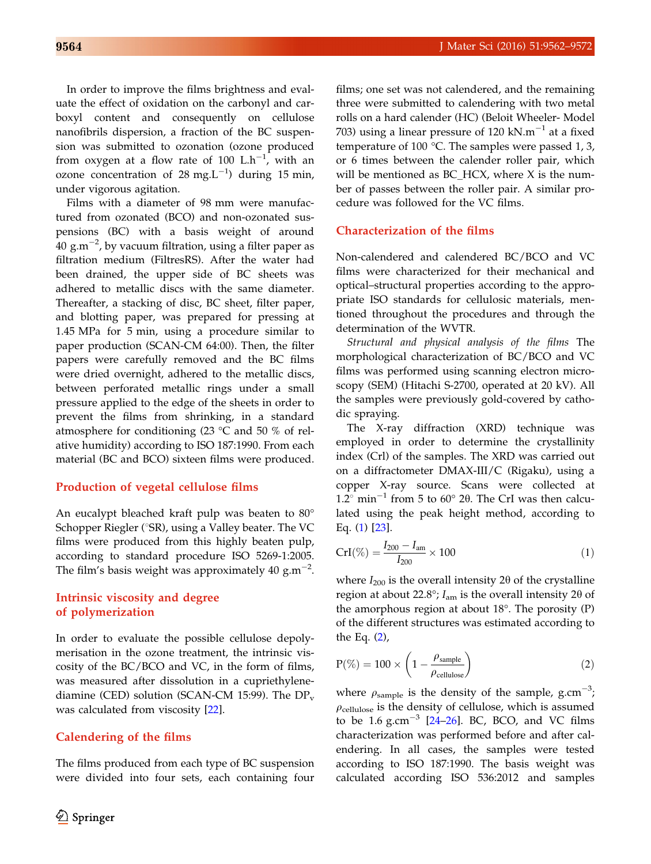In order to improve the films brightness and evaluate the effect of oxidation on the carbonyl and carboxyl content and consequently on cellulose nanofibrils dispersion, a fraction of the BC suspension was submitted to ozonation (ozone produced from oxygen at a flow rate of 100  $L \cdot h^{-1}$ , with an ozone concentration of 28 mg.L<sup>-1</sup>) during 15 min, under vigorous agitation.

Films with a diameter of 98 mm were manufactured from ozonated (BCO) and non-ozonated suspensions (BC) with a basis weight of around 40 g.m $^{-2}$ , by vacuum filtration, using a filter paper as filtration medium (FiltresRS). After the water had been drained, the upper side of BC sheets was adhered to metallic discs with the same diameter. Thereafter, a stacking of disc, BC sheet, filter paper, and blotting paper, was prepared for pressing at 1.45 MPa for 5 min, using a procedure similar to paper production (SCAN-CM 64:00). Then, the filter papers were carefully removed and the BC films were dried overnight, adhered to the metallic discs, between perforated metallic rings under a small pressure applied to the edge of the sheets in order to prevent the films from shrinking, in a standard atmosphere for conditioning (23  $\degree$ C and 50 % of relative humidity) according to ISO 187:1990. From each material (BC and BCO) sixteen films were produced.

### Production of vegetal cellulose films

An eucalypt bleached kraft pulp was beaten to 80° Schopper Riegler ( $\textdegree$ SR), using a Valley beater. The VC films were produced from this highly beaten pulp, according to standard procedure ISO 5269-1:2005. The film's basis weight was approximately 40  $\text{g.m}^{-2}$ .

# Intrinsic viscosity and degree of polymerization

In order to evaluate the possible cellulose depolymerisation in the ozone treatment, the intrinsic viscosity of the BC/BCO and VC, in the form of films, was measured after dissolution in a cupriethylenediamine (CED) solution (SCAN-CM 15:99). The  $DP_v$ was calculated from viscosity [\[22](#page-9-0)].

# Calendering of the films

The films produced from each type of BC suspension were divided into four sets, each containing four films; one set was not calendered, and the remaining three were submitted to calendering with two metal rolls on a hard calender (HC) (Beloit Wheeler- Model 703) using a linear pressure of 120  $kN.m^{-1}$  at a fixed temperature of 100 °C. The samples were passed 1, 3, or 6 times between the calender roller pair, which will be mentioned as BC HCX, where  $X$  is the number of passes between the roller pair. A similar procedure was followed for the VC films.

#### Characterization of the films

Non-calendered and calendered BC/BCO and VC films were characterized for their mechanical and optical–structural properties according to the appropriate ISO standards for cellulosic materials, mentioned throughout the procedures and through the determination of the WVTR.

Structural and physical analysis of the films The morphological characterization of BC/BCO and VC films was performed using scanning electron microscopy (SEM) (Hitachi S-2700, operated at 20 kV). All the samples were previously gold-covered by cathodic spraying.

The X-ray diffraction (XRD) technique was employed in order to determine the crystallinity index (Crl) of the samples. The XRD was carried out on a diffractometer DMAX-III/C (Rigaku), using a copper X-ray source. Scans were collected at  $1.2^{\circ}$  min<sup>-1</sup> from 5 to 60 $^{\circ}$  20. The CrI was then calculated using the peak height method, according to Eq. (1) [\[23](#page-9-0)].

$$
CrI(\%) = \frac{I_{200} - I_{\text{am}}}{I_{200}} \times 100
$$
 (1)

where  $I_{200}$  is the overall intensity 2 $\theta$  of the crystalline region at about 22.8°;  $I_{am}$  is the overall intensity 2 $\theta$  of the amorphous region at about  $18^\circ$ . The porosity (P) of the different structures was estimated according to the Eq. (2),

$$
P(\%) = 100 \times \left(1 - \frac{\rho_{sample}}{\rho_{cellulose}}\right)
$$
 (2)

where  $\rho_{\text{sample}}$  is the density of the sample, g.cm<sup>-3</sup>;  $\rho_{\text{cellulose}}$  is the density of cellulose, which is assumed to be  $1.6 \text{ g.cm}^{-3}$  [\[24–26](#page-9-0)]. BC, BCO, and VC films characterization was performed before and after calendering. In all cases, the samples were tested according to ISO 187:1990. The basis weight was calculated according ISO 536:2012 and samples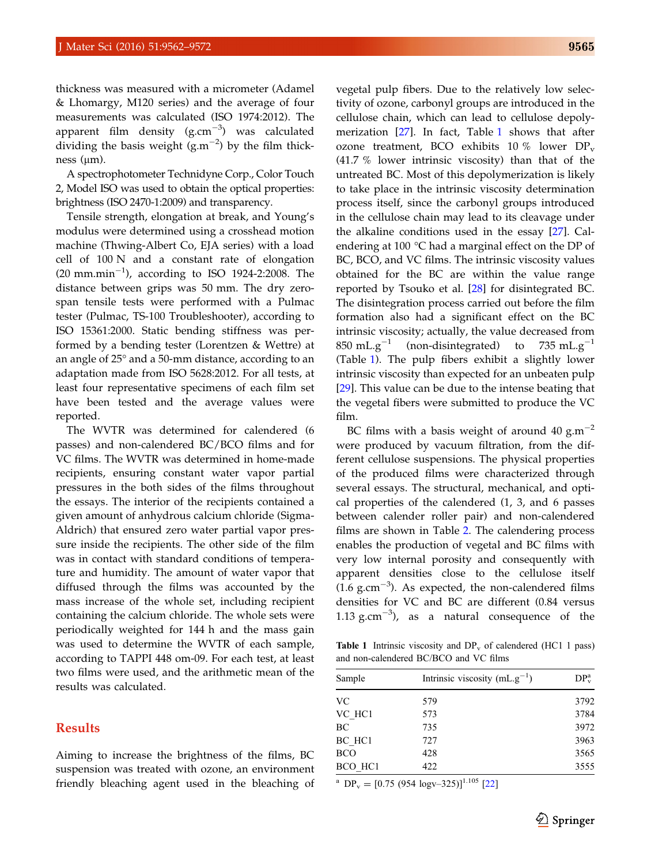<span id="page-3-0"></span>thickness was measured with a micrometer (Adamel & Lhomargy, M120 series) and the average of four measurements was calculated (ISO 1974:2012). The apparent film density  $(g.cm^{-3})$  was calculated dividing the basis weight  $(g.m^{-2})$  by the film thickness  $(\mu m)$ .

A spectrophotometer Technidyne Corp., Color Touch 2, Model ISO was used to obtain the optical properties: brightness (ISO 2470-1:2009) and transparency.

Tensile strength, elongation at break, and Young's modulus were determined using a crosshead motion machine (Thwing-Albert Co, EJA series) with a load cell of 100 N and a constant rate of elongation  $(20 \text{ mm.min}^{-1})$ , according to ISO 1924-2:2008. The distance between grips was 50 mm. The dry zerospan tensile tests were performed with a Pulmac tester (Pulmac, TS-100 Troubleshooter), according to ISO 15361:2000. Static bending stiffness was performed by a bending tester (Lorentzen & Wettre) at an angle of  $25^{\circ}$  and a 50-mm distance, according to an adaptation made from ISO 5628:2012. For all tests, at least four representative specimens of each film set have been tested and the average values were reported.

The WVTR was determined for calendered (6 passes) and non-calendered BC/BCO films and for VC films. The WVTR was determined in home-made recipients, ensuring constant water vapor partial pressures in the both sides of the films throughout the essays. The interior of the recipients contained a given amount of anhydrous calcium chloride (Sigma-Aldrich) that ensured zero water partial vapor pressure inside the recipients. The other side of the film was in contact with standard conditions of temperature and humidity. The amount of water vapor that diffused through the films was accounted by the mass increase of the whole set, including recipient containing the calcium chloride. The whole sets were periodically weighted for 144 h and the mass gain was used to determine the WVTR of each sample, according to TAPPI 448 om-09. For each test, at least two films were used, and the arithmetic mean of the results was calculated.

# Results

Aiming to increase the brightness of the films, BC suspension was treated with ozone, an environment friendly bleaching agent used in the bleaching of vegetal pulp fibers. Due to the relatively low selectivity of ozone, carbonyl groups are introduced in the cellulose chain, which can lead to cellulose depolymerization  $[27]$  $[27]$ . In fact, Table 1 shows that after ozone treatment, BCO exhibits 10 % lower  $DP_v$ (41.7 % lower intrinsic viscosity) than that of the untreated BC. Most of this depolymerization is likely to take place in the intrinsic viscosity determination process itself, since the carbonyl groups introduced in the cellulose chain may lead to its cleavage under the alkaline conditions used in the essay [[27\]](#page-9-0). Calendering at 100  $\degree$ C had a marginal effect on the DP of BC, BCO, and VC films. The intrinsic viscosity values obtained for the BC are within the value range reported by Tsouko et al. [[28\]](#page-9-0) for disintegrated BC. The disintegration process carried out before the film formation also had a significant effect on the BC intrinsic viscosity; actually, the value decreased from 850 mL.g<sup>-1</sup> (non-disintegrated) to 735 mL.g<sup>-1</sup> (Table 1). The pulp fibers exhibit a slightly lower intrinsic viscosity than expected for an unbeaten pulp [[29\]](#page-9-0). This value can be due to the intense beating that the vegetal fibers were submitted to produce the VC film.

BC films with a basis weight of around 40 g.m<sup> $-2$ </sup> were produced by vacuum filtration, from the different cellulose suspensions. The physical properties of the produced films were characterized through several essays. The structural, mechanical, and optical properties of the calendered (1, 3, and 6 passes between calender roller pair) and non-calendered films are shown in Table [2.](#page-4-0) The calendering process enables the production of vegetal and BC films with very low internal porosity and consequently with apparent densities close to the cellulose itself  $(1.6 \text{ g.cm}^{-3})$ . As expected, the non-calendered films densities for VC and BC are different (0.84 versus 1.13 g.cm<sup> $-3$ </sup>), as a natural consequence of the

**Table 1** Intrinsic viscosity and  $DP_v$  of calendered (HC1 1 pass) and non-calendered BC/BCO and VC films

| Sample              | Intrinsic viscosity $(mL, g^{-1})$ |      |  |  |
|---------------------|------------------------------------|------|--|--|
| <b>VC</b>           | 579                                | 3792 |  |  |
| VC HC1              | 573                                | 3784 |  |  |
| BC                  | 735                                | 3972 |  |  |
| BC HC <sub>1</sub>  | 727                                | 3963 |  |  |
| <b>BCO</b>          | 428                                | 3565 |  |  |
| BCO HC <sub>1</sub> | 422                                | 3555 |  |  |

<sup>a</sup> DP<sub>v</sub> = [0.75 (954 logv–325)]<sup>1.105</sup> [\[22](#page-9-0)]

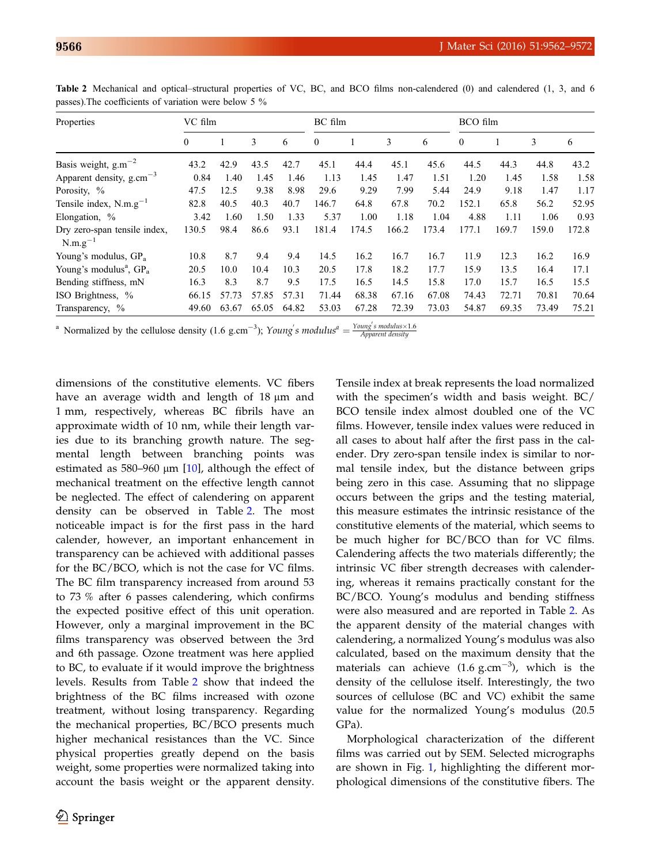| Properties                                        | VC film        |       |       | BC film |                  |       | BCO film |       |                  |       |       |       |
|---------------------------------------------------|----------------|-------|-------|---------|------------------|-------|----------|-------|------------------|-------|-------|-------|
|                                                   | $\overline{0}$ |       | 3     | 6       | $\boldsymbol{0}$ |       | 3        | 6     | $\boldsymbol{0}$ |       | 3     | 6     |
| Basis weight, $g.m^{-2}$                          | 43.2           | 42.9  | 43.5  | 42.7    | 45.1             | 44.4  | 45.1     | 45.6  | 44.5             | 44.3  | 44.8  | 43.2  |
| Apparent density, $g.cm^{-3}$                     | 0.84           | 1.40  | 1.45  | 1.46    | 1.13             | 1.45  | 1.47     | 1.51  | 1.20             | 1.45  | 1.58  | 1.58  |
| Porosity, %                                       | 47.5           | 12.5  | 9.38  | 8.98    | 29.6             | 9.29  | 7.99     | 5.44  | 24.9             | 9.18  | 1.47  | 1.17  |
| Tensile index, $N.m.g^{-1}$                       | 82.8           | 40.5  | 40.3  | 40.7    | 146.7            | 64.8  | 67.8     | 70.2  | 152.1            | 65.8  | 56.2  | 52.95 |
| Elongation, %                                     | 3.42           | 1.60  | 1.50  | 1.33    | 5.37             | 1.00  | 1.18     | 1.04  | 4.88             | 1.11  | 1.06  | 0.93  |
| Dry zero-span tensile index,<br>$N.m.g^{-1}$      | 130.5          | 98.4  | 86.6  | 93.1    | 181.4            | 174.5 | 166.2    | 173.4 | 177.1            | 169.7 | 159.0 | 172.8 |
| Young's modulus, GP <sub>a</sub>                  | 10.8           | 8.7   | 9.4   | 9.4     | 14.5             | 16.2  | 16.7     | 16.7  | 11.9             | 12.3  | 16.2  | 16.9  |
| Young's modulus <sup><math>a</math></sup> , $GPa$ | 20.5           | 10.0  | 10.4  | 10.3    | 20.5             | 17.8  | 18.2     | 17.7  | 15.9             | 13.5  | 16.4  | 17.1  |
| Bending stiffness, mN                             | 16.3           | 8.3   | 8.7   | 9.5     | 17.5             | 16.5  | 14.5     | 15.8  | 17.0             | 15.7  | 16.5  | 15.5  |
| ISO Brightness, %                                 | 66.15          | 57.73 | 57.85 | 57.31   | 71.44            | 68.38 | 67.16    | 67.08 | 74.43            | 72.71 | 70.81 | 70.64 |
| Transparency, %                                   | 49.60          | 63.67 | 65.05 | 64.82   | 53.03            | 67.28 | 72.39    | 73.03 | 54.87            | 69.35 | 73.49 | 75.21 |

<span id="page-4-0"></span>Table 2 Mechanical and optical–structural properties of VC, BC, and BCO films non-calendered (0) and calendered (1, 3, and 6 passes).The coefficients of variation were below 5 %

<sup>a</sup> Normalized by the cellulose density (1.6 g.cm<sup>-3</sup>); Young's modulus<sup>a</sup> =  $\frac{Young's \text{ modulus} \times 1.6}{Append \text{ density}}$ 

dimensions of the constitutive elements. VC fibers have an average width and length of  $18 \mu m$  and 1 mm, respectively, whereas BC fibrils have an approximate width of 10 nm, while their length varies due to its branching growth nature. The segmental length between branching points was estimated as 580–960  $\mu$ m [[10\]](#page-8-0), although the effect of mechanical treatment on the effective length cannot be neglected. The effect of calendering on apparent density can be observed in Table 2. The most noticeable impact is for the first pass in the hard calender, however, an important enhancement in transparency can be achieved with additional passes for the BC/BCO, which is not the case for VC films. The BC film transparency increased from around 53 to 73 % after 6 passes calendering, which confirms the expected positive effect of this unit operation. However, only a marginal improvement in the BC films transparency was observed between the 3rd and 6th passage. Ozone treatment was here applied to BC, to evaluate if it would improve the brightness levels. Results from Table 2 show that indeed the brightness of the BC films increased with ozone treatment, without losing transparency. Regarding the mechanical properties, BC/BCO presents much higher mechanical resistances than the VC. Since physical properties greatly depend on the basis weight, some properties were normalized taking into account the basis weight or the apparent density.

Tensile index at break represents the load normalized with the specimen's width and basis weight. BC/ BCO tensile index almost doubled one of the VC films. However, tensile index values were reduced in all cases to about half after the first pass in the calender. Dry zero-span tensile index is similar to normal tensile index, but the distance between grips being zero in this case. Assuming that no slippage occurs between the grips and the testing material, this measure estimates the intrinsic resistance of the constitutive elements of the material, which seems to be much higher for BC/BCO than for VC films. Calendering affects the two materials differently; the intrinsic VC fiber strength decreases with calendering, whereas it remains practically constant for the BC/BCO. Young's modulus and bending stiffness were also measured and are reported in Table 2. As the apparent density of the material changes with calendering, a normalized Young's modulus was also calculated, based on the maximum density that the materials can achieve  $(1.6 \text{ g.cm}^{-3})$ , which is the density of the cellulose itself. Interestingly, the two sources of cellulose (BC and VC) exhibit the same value for the normalized Young's modulus (20.5 GPa).

Morphological characterization of the different films was carried out by SEM. Selected micrographs are shown in Fig. [1,](#page-5-0) highlighting the different morphological dimensions of the constitutive fibers. The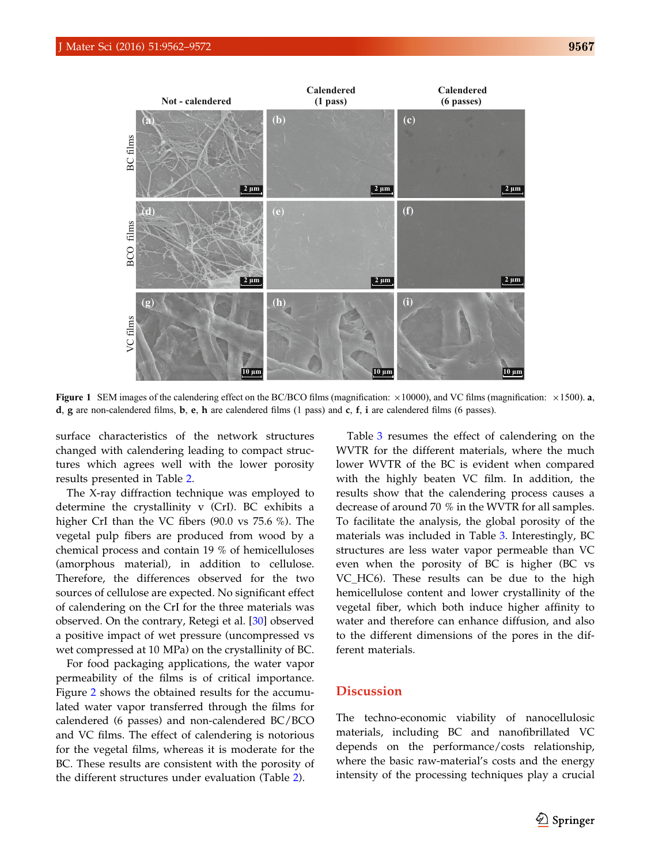<span id="page-5-0"></span>

Figure 1 SEM images of the calendering effect on the BC/BCO films (magnification:  $\times$ 10000), and VC films (magnification:  $\times$ 1500). a, d, g are non-calendered films, b, e, h are calendered films  $(1 \text{ pass})$  and c, f, i are calendered films  $(6 \text{ passes})$ .

surface characteristics of the network structures changed with calendering leading to compact structures which agrees well with the lower porosity results presented in Table [2.](#page-4-0)

The X-ray diffraction technique was employed to determine the crystallinity v (CrI). BC exhibits a higher CrI than the VC fibers (90.0 vs 75.6 %). The vegetal pulp fibers are produced from wood by a chemical process and contain 19 % of hemicelluloses (amorphous material), in addition to cellulose. Therefore, the differences observed for the two sources of cellulose are expected. No significant effect of calendering on the CrI for the three materials was observed. On the contrary, Retegi et al. [\[30](#page-9-0)] observed a positive impact of wet pressure (uncompressed vs wet compressed at 10 MPa) on the crystallinity of BC.

For food packaging applications, the water vapor permeability of the films is of critical importance. Figure [2](#page-6-0) shows the obtained results for the accumulated water vapor transferred through the films for calendered (6 passes) and non-calendered BC/BCO and VC films. The effect of calendering is notorious for the vegetal films, whereas it is moderate for the BC. These results are consistent with the porosity of the different structures under evaluation (Table [2](#page-4-0)).

Table [3](#page-6-0) resumes the effect of calendering on the WVTR for the different materials, where the much lower WVTR of the BC is evident when compared with the highly beaten VC film. In addition, the results show that the calendering process causes a decrease of around 70 % in the WVTR for all samples. To facilitate the analysis, the global porosity of the materials was included in Table [3](#page-6-0). Interestingly, BC structures are less water vapor permeable than VC even when the porosity of BC is higher (BC vs VC\_HC6). These results can be due to the high hemicellulose content and lower crystallinity of the vegetal fiber, which both induce higher affinity to water and therefore can enhance diffusion, and also to the different dimensions of the pores in the different materials.

# **Discussion**

The techno-economic viability of nanocellulosic materials, including BC and nanofibrillated VC depends on the performance/costs relationship, where the basic raw-material's costs and the energy intensity of the processing techniques play a crucial

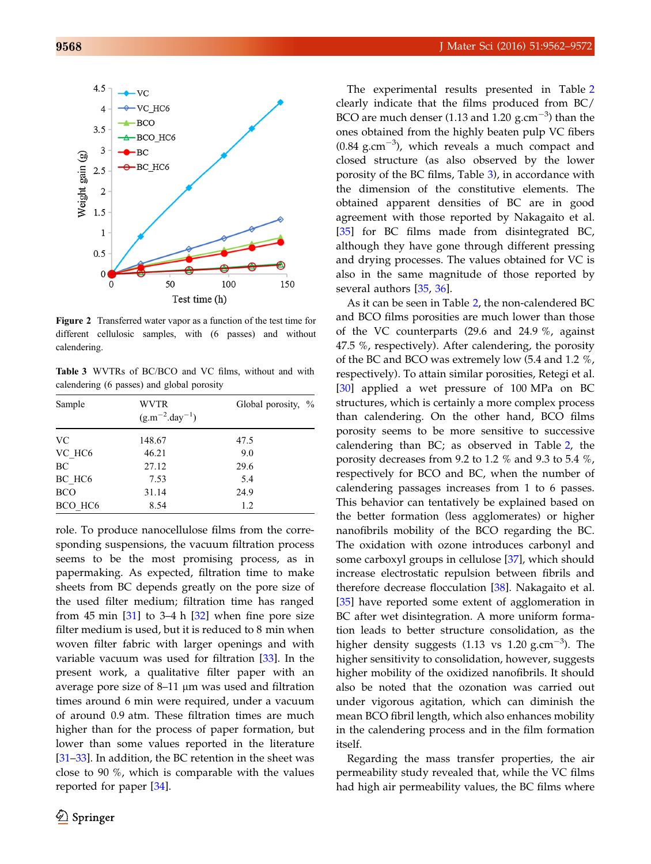<span id="page-6-0"></span>

Figure 2 Transferred water vapor as a function of the test time for different cellulosic samples, with (6 passes) and without calendering.

Table 3 WVTRs of BC/BCO and VC films, without and with calendering (6 passes) and global porosity

| Sample              | WVTR<br>$(g.m^{-2}.day^{-1})$ | Global porosity, % |
|---------------------|-------------------------------|--------------------|
| <b>VC</b>           | 148.67                        | 47.5               |
| VC HC <sub>6</sub>  | 46.21                         | 9.0                |
| BC                  | 27.12                         | 29.6               |
| BC HC <sub>6</sub>  | 7.53                          | 5.4                |
| <b>BCO</b>          | 31.14                         | 24.9               |
| BCO HC <sub>6</sub> | 8.54                          | 1.2                |

role. To produce nanocellulose films from the corresponding suspensions, the vacuum filtration process seems to be the most promising process, as in papermaking. As expected, filtration time to make sheets from BC depends greatly on the pore size of the used filter medium; filtration time has ranged from 45 min  $[31]$  $[31]$  to 3–4 h  $[32]$  $[32]$  when fine pore size filter medium is used, but it is reduced to 8 min when woven filter fabric with larger openings and with variable vacuum was used for filtration [[33\]](#page-9-0). In the present work, a qualitative filter paper with an average pore size of  $8-11$  µm was used and filtration times around 6 min were required, under a vacuum of around 0.9 atm. These filtration times are much higher than for the process of paper formation, but lower than some values reported in the literature [\[31–33](#page-9-0)]. In addition, the BC retention in the sheet was close to 90 %, which is comparable with the values reported for paper [\[34](#page-9-0)].

The experimental results presented in Table [2](#page-4-0) clearly indicate that the films produced from BC/ BCO are much denser (1.13 and 1.20  $\text{g.cm}^{-3}$ ) than the ones obtained from the highly beaten pulp VC fibers  $(0.84 \text{ g.cm}^{-3})$ , which reveals a much compact and closed structure (as also observed by the lower porosity of the BC films, Table 3), in accordance with the dimension of the constitutive elements. The obtained apparent densities of BC are in good agreement with those reported by Nakagaito et al. [[35\]](#page-9-0) for BC films made from disintegrated BC, although they have gone through different pressing and drying processes. The values obtained for VC is also in the same magnitude of those reported by several authors [[35](#page-9-0), [36](#page-9-0)].

As it can be seen in Table [2,](#page-4-0) the non-calendered BC and BCO films porosities are much lower than those of the VC counterparts (29.6 and 24.9 %, against 47.5 %, respectively). After calendering, the porosity of the BC and BCO was extremely low (5.4 and 1.2 %, respectively). To attain similar porosities, Retegi et al. [[30\]](#page-9-0) applied a wet pressure of 100 MPa on BC structures, which is certainly a more complex process than calendering. On the other hand, BCO films porosity seems to be more sensitive to successive calendering than BC; as observed in Table [2,](#page-4-0) the porosity decreases from 9.2 to 1.2 % and 9.3 to 5.4 %, respectively for BCO and BC, when the number of calendering passages increases from 1 to 6 passes. This behavior can tentatively be explained based on the better formation (less agglomerates) or higher nanofibrils mobility of the BCO regarding the BC. The oxidation with ozone introduces carbonyl and some carboxyl groups in cellulose [[37\]](#page-9-0), which should increase electrostatic repulsion between fibrils and therefore decrease flocculation [\[38](#page-9-0)]. Nakagaito et al. [[35\]](#page-9-0) have reported some extent of agglomeration in BC after wet disintegration. A more uniform formation leads to better structure consolidation, as the higher density suggests  $(1.13 \text{ vs } 1.20 \text{ g.cm}^{-3})$ . The higher sensitivity to consolidation, however, suggests higher mobility of the oxidized nanofibrils. It should also be noted that the ozonation was carried out under vigorous agitation, which can diminish the mean BCO fibril length, which also enhances mobility in the calendering process and in the film formation itself.

Regarding the mass transfer properties, the air permeability study revealed that, while the VC films had high air permeability values, the BC films where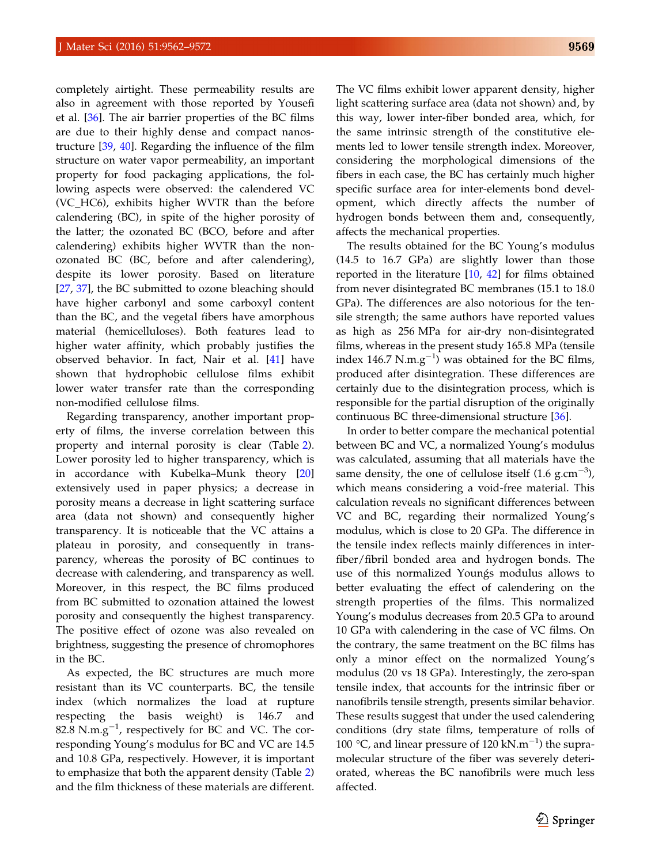completely airtight. These permeability results are also in agreement with those reported by Yousefi et al. [\[36](#page-9-0)]. The air barrier properties of the BC films are due to their highly dense and compact nanostructure [[39,](#page-9-0) [40\]](#page-9-0). Regarding the influence of the film structure on water vapor permeability, an important property for food packaging applications, the following aspects were observed: the calendered VC (VC\_HC6), exhibits higher WVTR than the before calendering (BC), in spite of the higher porosity of the latter; the ozonated BC (BCO, before and after calendering) exhibits higher WVTR than the nonozonated BC (BC, before and after calendering), despite its lower porosity. Based on literature [\[27](#page-9-0), [37\]](#page-9-0), the BC submitted to ozone bleaching should have higher carbonyl and some carboxyl content than the BC, and the vegetal fibers have amorphous material (hemicelluloses). Both features lead to higher water affinity, which probably justifies the observed behavior. In fact, Nair et al. [[41\]](#page-9-0) have shown that hydrophobic cellulose films exhibit lower water transfer rate than the corresponding non-modified cellulose films.

Regarding transparency, another important property of films, the inverse correlation between this property and internal porosity is clear (Table [2\)](#page-4-0). Lower porosity led to higher transparency, which is in accordance with Kubelka–Munk theory [\[20](#page-9-0)] extensively used in paper physics; a decrease in porosity means a decrease in light scattering surface area (data not shown) and consequently higher transparency. It is noticeable that the VC attains a plateau in porosity, and consequently in transparency, whereas the porosity of BC continues to decrease with calendering, and transparency as well. Moreover, in this respect, the BC films produced from BC submitted to ozonation attained the lowest porosity and consequently the highest transparency. The positive effect of ozone was also revealed on brightness, suggesting the presence of chromophores in the BC.

As expected, the BC structures are much more resistant than its VC counterparts. BC, the tensile index (which normalizes the load at rupture respecting the basis weight) is 146.7 and 82.8  $N.m.g^{-1}$ , respectively for BC and VC. The corresponding Young's modulus for BC and VC are 14.5 and 10.8 GPa, respectively. However, it is important to emphasize that both the apparent density (Table [2](#page-4-0)) and the film thickness of these materials are different.

The VC films exhibit lower apparent density, higher light scattering surface area (data not shown) and, by this way, lower inter-fiber bonded area, which, for the same intrinsic strength of the constitutive elements led to lower tensile strength index. Moreover, considering the morphological dimensions of the fibers in each case, the BC has certainly much higher specific surface area for inter-elements bond development, which directly affects the number of hydrogen bonds between them and, consequently, affects the mechanical properties.

The results obtained for the BC Young's modulus (14.5 to 16.7 GPa) are slightly lower than those reported in the literature [[10,](#page-8-0) [42](#page-10-0)] for films obtained from never disintegrated BC membranes (15.1 to 18.0 GPa). The differences are also notorious for the tensile strength; the same authors have reported values as high as 256 MPa for air-dry non-disintegrated films, whereas in the present study 165.8 MPa (tensile index 146.7 N.m.g<sup>-1</sup>) was obtained for the BC films, produced after disintegration. These differences are certainly due to the disintegration process, which is responsible for the partial disruption of the originally continuous BC three-dimensional structure [\[36](#page-9-0)].

In order to better compare the mechanical potential between BC and VC, a normalized Young's modulus was calculated, assuming that all materials have the same density, the one of cellulose itself  $(1.6 \text{ g.cm}^{-3})$ , which means considering a void-free material. This calculation reveals no significant differences between VC and BC, regarding their normalized Young's modulus, which is close to 20 GPa. The difference in the tensile index reflects mainly differences in interfiber/fibril bonded area and hydrogen bonds. The use of this normalized Youngs modulus allows to better evaluating the effect of calendering on the strength properties of the films. This normalized Young's modulus decreases from 20.5 GPa to around 10 GPa with calendering in the case of VC films. On the contrary, the same treatment on the BC films has only a minor effect on the normalized Young's modulus (20 vs 18 GPa). Interestingly, the zero-span tensile index, that accounts for the intrinsic fiber or nanofibrils tensile strength, presents similar behavior. These results suggest that under the used calendering conditions (dry state films, temperature of rolls of 100 °C, and linear pressure of 120  $kN.m^{-1}$ ) the supramolecular structure of the fiber was severely deteriorated, whereas the BC nanofibrils were much less affected.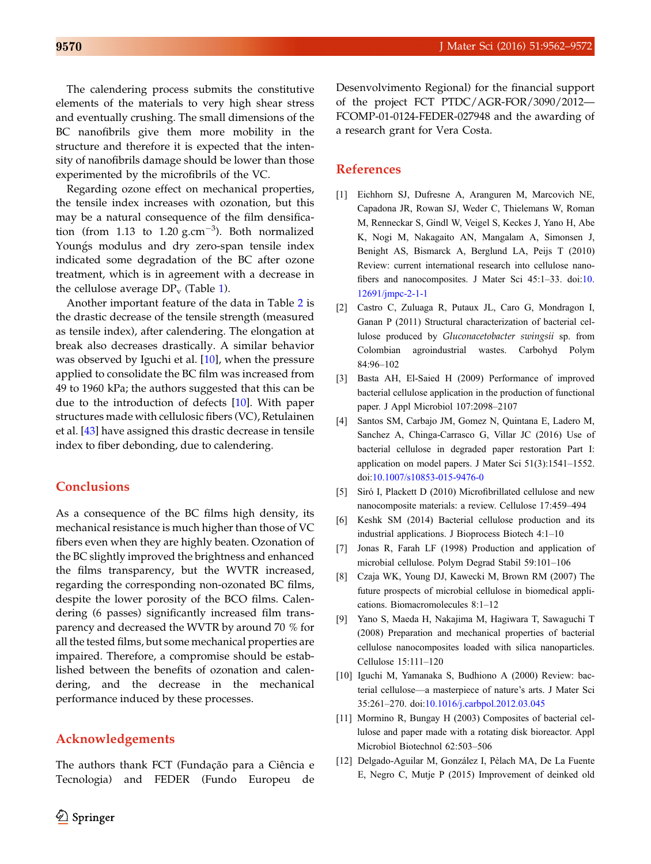<span id="page-8-0"></span>The calendering process submits the constitutive elements of the materials to very high shear stress and eventually crushing. The small dimensions of the BC nanofibrils give them more mobility in the structure and therefore it is expected that the intensity of nanofibrils damage should be lower than those experimented by the microfibrils of the VC.

Regarding ozone effect on mechanical properties, the tensile index increases with ozonation, but this may be a natural consequence of the film densification (from 1.13 to 1.20  $g.cm^{-3}$ ). Both normalized Youngs modulus and dry zero-span tensile index indicated some degradation of the BC after ozone treatment, which is in agreement with a decrease in the cellulose average  $DP_v$  (Table [1](#page-3-0)).

Another important feature of the data in Table [2](#page-4-0) is the drastic decrease of the tensile strength (measured as tensile index), after calendering. The elongation at break also decreases drastically. A similar behavior was observed by Iguchi et al. [10], when the pressure applied to consolidate the BC film was increased from 49 to 1960 kPa; the authors suggested that this can be due to the introduction of defects [10]. With paper structures made with cellulosic fibers (VC), Retulainen et al. [\[43](#page-10-0)] have assigned this drastic decrease in tensile index to fiber debonding, due to calendering.

# Conclusions

As a consequence of the BC films high density, its mechanical resistance is much higher than those of VC fibers even when they are highly beaten. Ozonation of the BC slightly improved the brightness and enhanced the films transparency, but the WVTR increased, regarding the corresponding non-ozonated BC films, despite the lower porosity of the BCO films. Calendering (6 passes) significantly increased film transparency and decreased the WVTR by around 70 % for all the tested films, but some mechanical properties are impaired. Therefore, a compromise should be established between the benefits of ozonation and calendering, and the decrease in the mechanical performance induced by these processes.

### Acknowledgements

The authors thank FCT (Fundação para a Ciência e Tecnologia) and FEDER (Fundo Europeu de Desenvolvimento Regional) for the financial support of the project FCT PTDC/AGR-FOR/3090/2012— FCOMP-01-0124-FEDER-027948 and the awarding of a research grant for Vera Costa.

# **References**

- [1] Eichhorn SJ, Dufresne A, Aranguren M, Marcovich NE, Capadona JR, Rowan SJ, Weder C, Thielemans W, Roman M, Renneckar S, Gindl W, Veigel S, Keckes J, Yano H, Abe K, Nogi M, Nakagaito AN, Mangalam A, Simonsen J, Benight AS, Bismarck A, Berglund LA, Peijs T (2010) Review: current international research into cellulose nanofibers and nanocomposites. J Mater Sci 45:1–33. doi[:10.](http://dx.doi.org/10.12691/jmpc-2-1-1) [12691/jmpc-2-1-1](http://dx.doi.org/10.12691/jmpc-2-1-1)
- [2] Castro C, Zuluaga R, Putaux JL, Caro G, Mondragon I, Ganan P (2011) Structural characterization of bacterial cellulose produced by Gluconacetobacter swingsii sp. from Colombian agroindustrial wastes. Carbohyd Polym 84:96–102
- [3] Basta AH, El-Saied H (2009) Performance of improved bacterial cellulose application in the production of functional paper. J Appl Microbiol 107:2098–2107
- [4] Santos SM, Carbajo JM, Gomez N, Quintana E, Ladero M, Sanchez A, Chinga-Carrasco G, Villar JC (2016) Use of bacterial cellulose in degraded paper restoration Part I: application on model papers. J Mater Sci 51(3):1541–1552. doi:[10.1007/s10853-015-9476-0](http://dx.doi.org/10.1007/s10853-015-9476-0)
- [5] Siró I, Plackett D (2010) Microfibrillated cellulose and new nanocomposite materials: a review. Cellulose 17:459–494
- [6] Keshk SM (2014) Bacterial cellulose production and its industrial applications. J Bioprocess Biotech 4:1–10
- [7] Jonas R, Farah LF (1998) Production and application of microbial cellulose. Polym Degrad Stabil 59:101–106
- [8] Czaja WK, Young DJ, Kawecki M, Brown RM (2007) The future prospects of microbial cellulose in biomedical applications. Biomacromolecules 8:1–12
- [9] Yano S, Maeda H, Nakajima M, Hagiwara T, Sawaguchi T (2008) Preparation and mechanical properties of bacterial cellulose nanocomposites loaded with silica nanoparticles. Cellulose 15:111–120
- [10] Iguchi M, Yamanaka S, Budhiono A (2000) Review: bacterial cellulose—a masterpiece of nature's arts. J Mater Sci 35:261–270. doi[:10.1016/j.carbpol.2012.03.045](http://dx.doi.org/10.1016/j.carbpol.2012.03.045)
- [11] Mormino R, Bungay H (2003) Composites of bacterial cellulose and paper made with a rotating disk bioreactor. Appl Microbiol Biotechnol 62:503–506
- [12] Delgado-Aguilar M, González I, Pèlach MA, De La Fuente E, Negro C, Mutje P (2015) Improvement of deinked old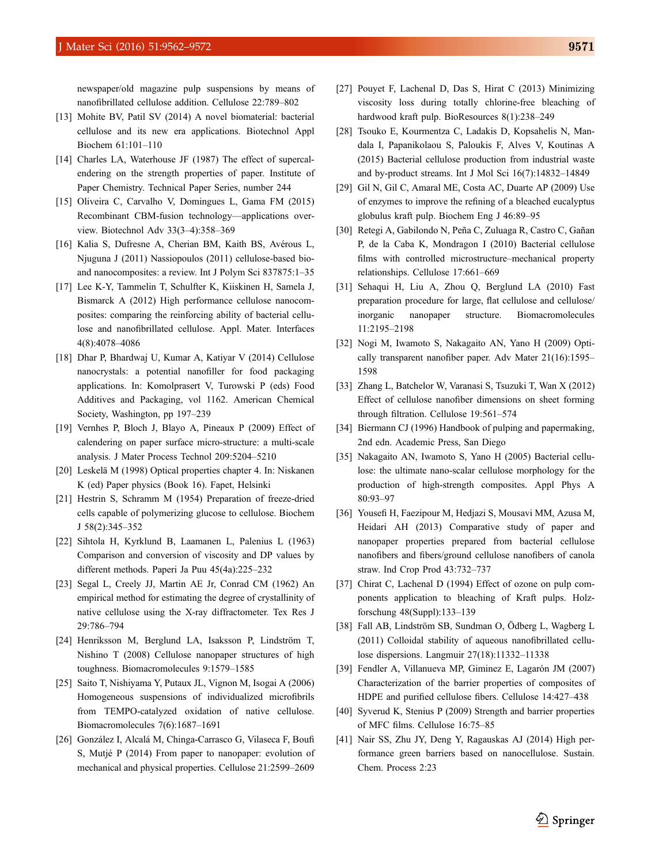<span id="page-9-0"></span>newspaper/old magazine pulp suspensions by means of nanofibrillated cellulose addition. Cellulose 22:789–802

- [13] Mohite BV, Patil SV (2014) A novel biomaterial: bacterial cellulose and its new era applications. Biotechnol Appl Biochem 61:101–110
- [14] Charles LA, Waterhouse JF (1987) The effect of supercalendering on the strength properties of paper. Institute of Paper Chemistry. Technical Paper Series, number 244
- [15] Oliveira C, Carvalho V, Domingues L, Gama FM (2015) Recombinant CBM-fusion technology—applications overview. Biotechnol Adv 33(3–4):358–369
- [16] Kalia S, Dufresne A, Cherian BM, Kaith BS, Avérous L, Njuguna J (2011) Nassiopoulos (2011) cellulose-based bioand nanocomposites: a review. Int J Polym Sci 837875:1–35
- [17] Lee K-Y, Tammelin T, Schulfter K, Kiiskinen H, Samela J, Bismarck A (2012) High performance cellulose nanocomposites: comparing the reinforcing ability of bacterial cellulose and nanofibrillated cellulose. Appl. Mater. Interfaces 4(8):4078–4086
- [18] Dhar P, Bhardwaj U, Kumar A, Katiyar V (2014) Cellulose nanocrystals: a potential nanofiller for food packaging applications. In: Komolprasert V, Turowski P (eds) Food Additives and Packaging, vol 1162. American Chemical Society, Washington, pp 197–239
- [19] Vernhes P, Bloch J, Blayo A, Pineaux P (2009) Effect of calendering on paper surface micro-structure: a multi-scale analysis. J Mater Process Technol 209:5204–5210
- [20] Leskelä M (1998) Optical properties chapter 4. In: Niskanen K (ed) Paper physics (Book 16). Fapet, Helsinki
- [21] Hestrin S, Schramm M (1954) Preparation of freeze-dried cells capable of polymerizing glucose to cellulose. Biochem J 58(2):345–352
- [22] Sihtola H, Kyrklund B, Laamanen L, Palenius L (1963) Comparison and conversion of viscosity and DP values by different methods. Paperi Ja Puu 45(4a):225–232
- [23] Segal L, Creely JJ, Martin AE Jr, Conrad CM (1962) An empirical method for estimating the degree of crystallinity of native cellulose using the X-ray diffractometer. Tex Res J 29:786–794
- [24] Henriksson M, Berglund LA, Isaksson P, Lindström T, Nishino T (2008) Cellulose nanopaper structures of high toughness. Biomacromolecules 9:1579–1585
- [25] Saito T, Nishiyama Y, Putaux JL, Vignon M, Isogai A (2006) Homogeneous suspensions of individualized microfibrils from TEMPO-catalyzed oxidation of native cellulose. Biomacromolecules 7(6):1687–1691
- [26] González I, Alcalá M, Chinga-Carrasco G, Vilaseca F, Boufi S, Mutjé P (2014) From paper to nanopaper: evolution of mechanical and physical properties. Cellulose 21:2599–2609
- [27] Pouyet F, Lachenal D, Das S, Hirat C (2013) Minimizing viscosity loss during totally chlorine-free bleaching of hardwood kraft pulp. BioResources 8(1):238–249
- [28] Tsouko E, Kourmentza C, Ladakis D, Kopsahelis N, Mandala I, Papanikolaou S, Paloukis F, Alves V, Koutinas A (2015) Bacterial cellulose production from industrial waste and by-product streams. Int J Mol Sci 16(7):14832–14849
- [29] Gil N, Gil C, Amaral ME, Costa AC, Duarte AP (2009) Use of enzymes to improve the refining of a bleached eucalyptus globulus kraft pulp. Biochem Eng J 46:89–95
- [30] Retegi A, Gabilondo N, Peña C, Zuluaga R, Castro C, Gañan P, de la Caba K, Mondragon I (2010) Bacterial cellulose films with controlled microstructure–mechanical property relationships. Cellulose 17:661–669
- [31] Sehaqui H, Liu A, Zhou Q, Berglund LA (2010) Fast preparation procedure for large, flat cellulose and cellulose/ inorganic nanopaper structure. Biomacromolecules 11:2195–2198
- [32] Nogi M, Iwamoto S, Nakagaito AN, Yano H (2009) Optically transparent nanofiber paper. Adv Mater 21(16):1595– 1598
- [33] Zhang L, Batchelor W, Varanasi S, Tsuzuki T, Wan X (2012) Effect of cellulose nanofiber dimensions on sheet forming through filtration. Cellulose 19:561–574
- [34] Biermann CJ (1996) Handbook of pulping and papermaking, 2nd edn. Academic Press, San Diego
- [35] Nakagaito AN, Iwamoto S, Yano H (2005) Bacterial cellulose: the ultimate nano-scalar cellulose morphology for the production of high-strength composites. Appl Phys A 80:93–97
- [36] Yousefi H, Faezipour M, Hedjazi S, Mousavi MM, Azusa M, Heidari AH (2013) Comparative study of paper and nanopaper properties prepared from bacterial cellulose nanofibers and fibers/ground cellulose nanofibers of canola straw. Ind Crop Prod 43:732–737
- [37] Chirat C, Lachenal D (1994) Effect of ozone on pulp components application to bleaching of Kraft pulps. Holzforschung 48(Suppl):133–139
- [38] Fall AB, Lindström SB, Sundman O, Ödberg L, Wagberg L (2011) Colloidal stability of aqueous nanofibrillated cellulose dispersions. Langmuir 27(18):11332–11338
- [39] Fendler A, Villanueva MP, Giminez E, Lagarón JM (2007) Characterization of the barrier properties of composites of HDPE and purified cellulose fibers. Cellulose 14:427–438
- [40] Syverud K, Stenius P (2009) Strength and barrier properties of MFC films. Cellulose 16:75–85
- [41] Nair SS, Zhu JY, Deng Y, Ragauskas AJ (2014) High performance green barriers based on nanocellulose. Sustain. Chem. Process 2:23